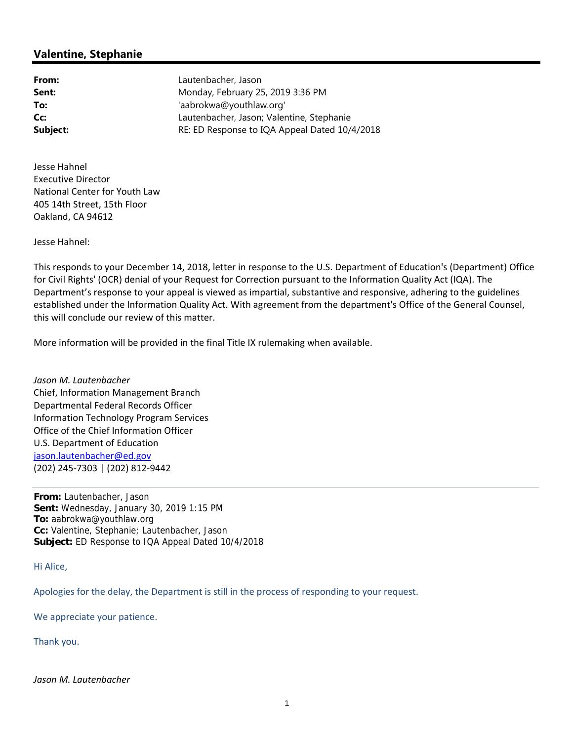## **Valentine, Stephanie**

**From:** Lautenbacher, Jason **Sent:** Monday, February 25, 2019 3:36 PM **To:** 'aabrokwa@youthlaw.org' **Cc:** Lautenbacher, Jason; Valentine, Stephanie **Subject: RE: ED Response to IQA Appeal Dated 10/4/2018** 

 Jesse Hahnel Executive Director National Center for Youth Law 405 14th Street, 15th Floor Oakland, CA 94612

Jesse Hahnel:

 This responds to your December 14, 2018, letter in response to the U.S. Department of Education's (Department) Office for Civil Rights' (OCR) denial of your Request for Correction pursuant to the Information Quality Act (IQA). The Department's response to your appeal is viewed as impartial, substantive and responsive, adhering to the guidelines established under the Information Quality Act. With agreement from the department's Office of the General Counsel, this will conclude our review of this matter.

More information will be provided in the final Title IX rulemaking when available.

 *Jason M. Lautenbacher* Chief, Information Management Branch Departmental Federal Records Officer Information Technology Program Services Office of the Chief Information Officer U.S. Department of Education jason.lautenbacher@ed.gov (202) 245‐7303 | (202) 812‐9442

**From:** Lautenbacher, Jason **Sent:** Wednesday, January 30, 2019 1:15 PM **To:** aabrokwa@youthlaw.org **Cc:** Valentine, Stephanie; Lautenbacher, Jason **Subject:** ED Response to IQA Appeal Dated 10/4/2018

Hi Alice,

Apologies for the delay, the Department is still in the process of responding to your request.

We appreciate your patience.

Thank you.

 *Jason M. Lautenbacher*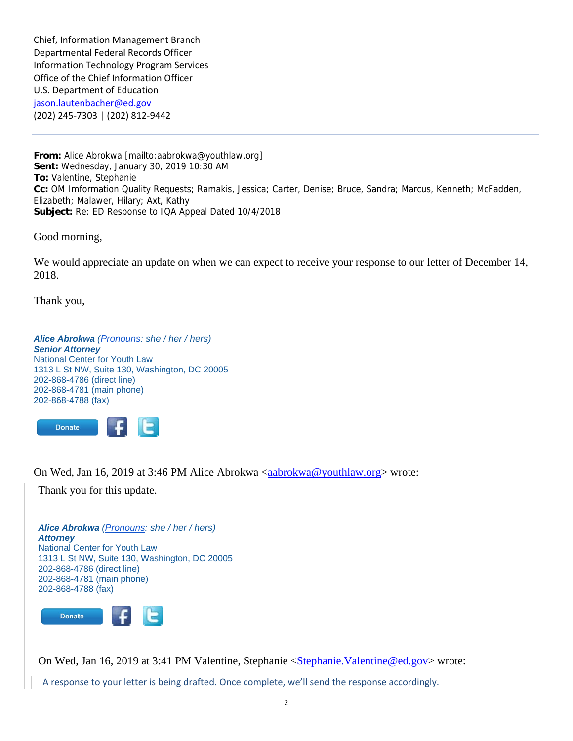Chief, Information Management Branch Departmental Federal Records Officer Information Technology Program Services Office of the Chief Information Officer U.S. Department of Education jason.lautenbacher@ed.gov (202) 245‐7303 | (202) 812‐9442

**From:** Alice Abrokwa [mailto:aabrokwa@youthlaw.org] **Sent:** Wednesday, January 30, 2019 10:30 AM **To:** Valentine, Stephanie **Cc:** OM Imformation Quality Requests; Ramakis, Jessica; Carter, Denise; Bruce, Sandra; Marcus, Kenneth; McFadden, Elizabeth; Malawer, Hilary; Axt, Kathy **Subject:** Re: ED Response to IQA Appeal Dated 10/4/2018

Good morning,

We would appreciate an update on when we can expect to receive your response to our letter of December 14, 2018.

Thank you,

*Alice Abrokwa (Pronouns: she / her / hers) Senior Attorney*  National Center for Youth Law 1313 L St NW, Suite 130, Washington, DC 20005 202-868-4786 (direct line) 202-868-4781 (main phone) 202-868-4788 (fax)



On Wed, Jan 16, 2019 at 3:46 PM Alice Abrokwa <aabrokwa@youthlaw.org> wrote:

Thank you for this update.

*Alice Abrokwa (Pronouns: she / her / hers) Attorney*  National Center for Youth Law 1313 L St NW, Suite 130, Washington, DC 20005 202-868-4786 (direct line) 202-868-4781 (main phone) 202-868-4788 (fax)



On Wed, Jan 16, 2019 at 3:41 PM Valentine, Stephanie <Stephanie.Valentine@ed.gov> wrote:

A response to your letter is being drafted. Once complete, we'll send the response accordingly.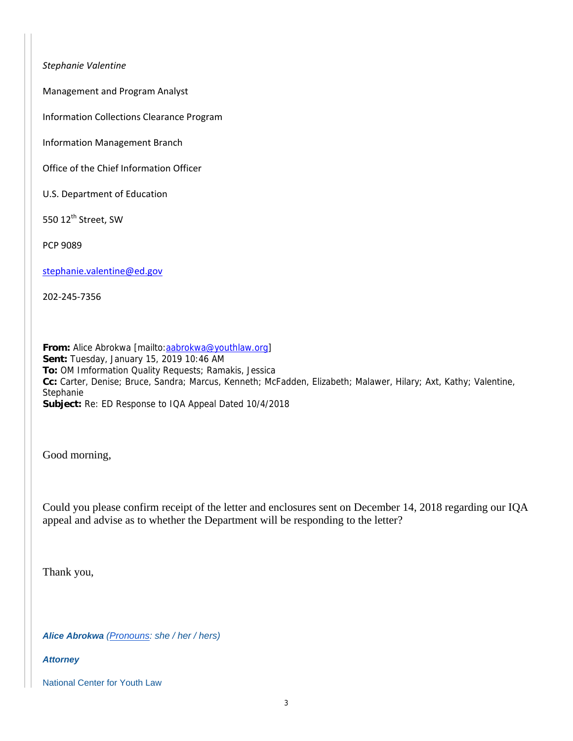*Stephanie Valentine*

Management and Program Analyst

Information Collections Clearance Program

Information Management Branch

Office of the Chief Information Officer

U.S. Department of Education

550 12 $^{\text{th}}$  Street, SW

PCP 9089

stephanie.valentine@ed.gov

202‐245‐7356

**From:** Alice Abrokwa [mailto:aabrokwa@youthlaw.org] **Sent:** Tuesday, January 15, 2019 10:46 AM **To:** OM Imformation Quality Requests; Ramakis, Jessica **Cc:** Carter, Denise; Bruce, Sandra; Marcus, Kenneth; McFadden, Elizabeth; Malawer, Hilary; Axt, Kathy; Valentine, Stephanie **Subject:** Re: ED Response to IQA Appeal Dated 10/4/2018

Good morning,

Could you please confirm receipt of the letter and enclosures sent on December 14, 2018 regarding our IQA appeal and advise as to whether the Department will be responding to the letter?

Thank you,

*Alice Abrokwa (Pronouns: she / her / hers)* 

*Attorney* 

National Center for Youth Law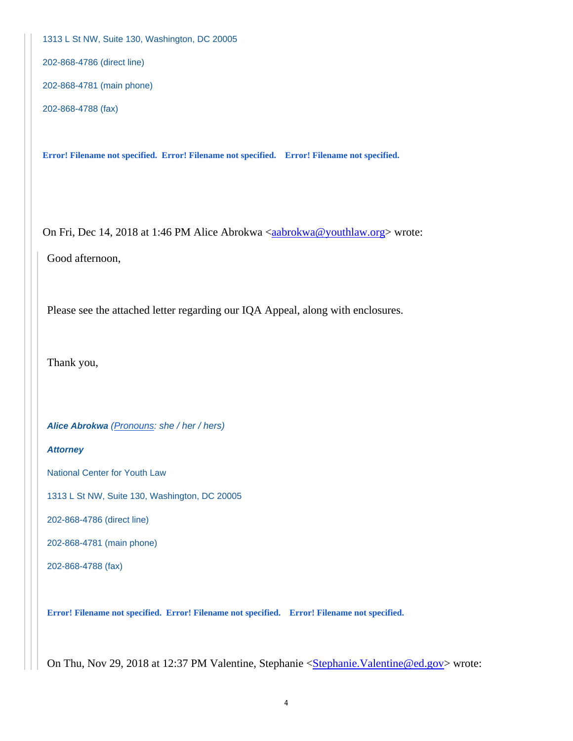1313 L St NW, Suite 130, Washington, DC 20005

202-868-4786 (direct line)

202-868-4781 (main phone)

202-868-4788 (fax)

**Error! Filename not specified. Error! Filename not specified. Error! Filename not specified.** 

On Fri, Dec 14, 2018 at 1:46 PM Alice Abrokwa <aabrokwa@youthlaw.org> wrote:

Good afternoon,

Please see the attached letter regarding our IQA Appeal, along with enclosures.

Thank you,

*Alice Abrokwa (Pronouns: she / her / hers)* 

## *Attorney*

National Center for Youth Law

1313 L St NW, Suite 130, Washington, DC 20005

202-868-4786 (direct line)

202-868-4781 (main phone)

202-868-4788 (fax)

**Error! Filename not specified. Error! Filename not specified. Error! Filename not specified.** 

On Thu, Nov 29, 2018 at 12:37 PM Valentine, Stephanie <Stephanie.Valentine@ed.gov> wrote: